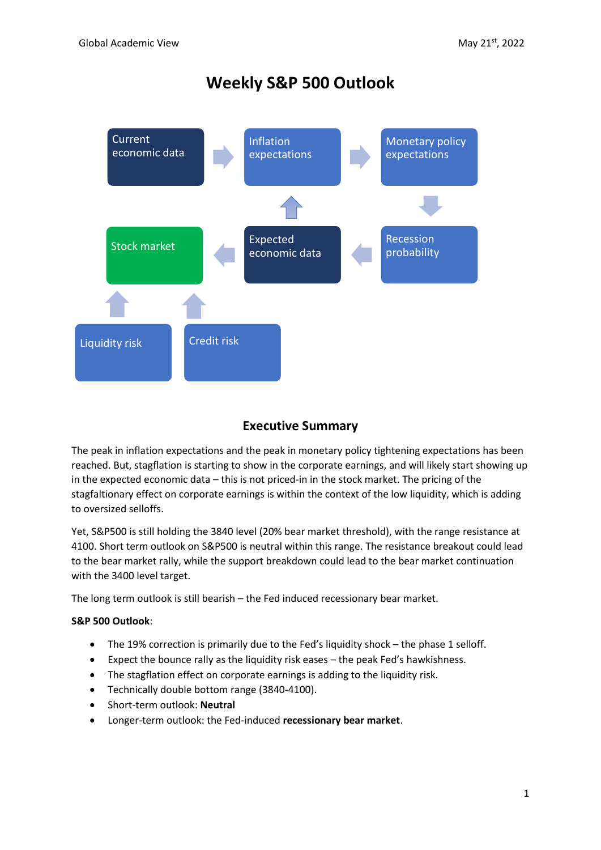# **Weekly S&P 500 Outlook**



# **Executive Summary**

The peak in inflation expectations and the peak in monetary policy tightening expectations has been reached. But, stagflation is starting to show in the corporate earnings, and will likely start showing up in the expected economic data – this is not priced-in in the stock market. The pricing of the stagfaltionary effect on corporate earnings is within the context of the low liquidity, which is adding to oversized selloffs.

Yet, S&P500 is still holding the 3840 level (20% bear market threshold), with the range resistance at 4100. Short term outlook on S&P500 is neutral within this range. The resistance breakout could lead to the bear market rally, while the support breakdown could lead to the bear market continuation with the 3400 level target.

The long term outlook is still bearish – the Fed induced recessionary bear market.

### **S&P 500 Outlook**:

- The 19% correction is primarily due to the Fed's liquidity shock the phase 1 selloff.
- Expect the bounce rally as the liquidity risk eases the peak Fed's hawkishness.
- The stagflation effect on corporate earnings is adding to the liquidity risk.
- Technically double bottom range (3840-4100).
- Short-term outlook: **Neutral**
- Longer-term outlook: the Fed-induced **recessionary bear market**.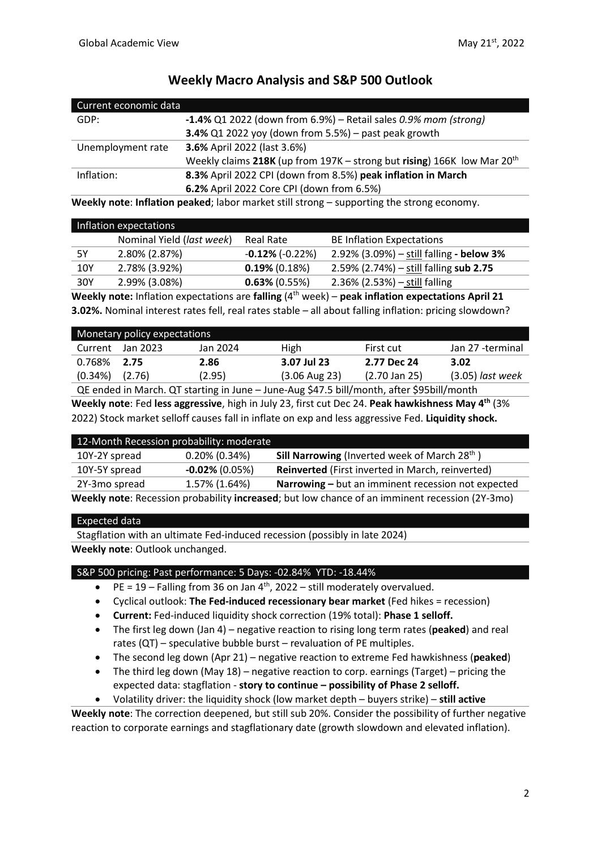| Current economic data |                                                                           |  |
|-----------------------|---------------------------------------------------------------------------|--|
| GDP:                  | <b>-1.4%</b> Q1 2022 (down from 6.9%) – Retail sales 0.9% mom (strong)    |  |
|                       | 3.4% Q1 2022 yoy (down from 5.5%) $-$ past peak growth                    |  |
| Unemployment rate     | 3.6% April 2022 (last 3.6%)                                               |  |
|                       | Weekly claims 218K (up from 197K – strong but rising) 166K low Mar $20th$ |  |
| Inflation:            | 8.3% April 2022 CPI (down from 8.5%) peak inflation in March              |  |
|                       | 6.2% April 2022 Core CPI (down from 6.5%)                                 |  |

# **Weekly Macro Analysis and S&P 500 Outlook**

**Weekly note**: **Inflation peaked**; labor market still strong – supporting the strong economy.

| Inflation expectations |                           |                         |                                          |
|------------------------|---------------------------|-------------------------|------------------------------------------|
|                        | Nominal Yield (last week) | <b>Real Rate</b>        | <b>BE Inflation Expectations</b>         |
| 5Υ                     | 2.80% (2.87%)             | $-0.12\%$ ( $-0.22\%$ ) | 2.92% (3.09%) – still falling - below 3% |
| 10Y                    | 2.78% (3.92%)             | $0.19\%$ (0.18%)        | 2.59% (2.74%) - still falling sub 2.75   |
| 30Y                    | 2.99% (3.08%)             | $0.63\%$ (0.55%)        | 2.36% (2.53%) – still falling            |

Weekly note: Inflation expectations are falling (4<sup>th</sup> week) - peak inflation expectations April 21 **3.02%.** Nominal interest rates fell, real rates stable – all about falling inflation: pricing slowdown?

| Monetary policy expectations |            |          |                          |                 |                    |
|------------------------------|------------|----------|--------------------------|-----------------|--------------------|
| Current                      | Jan 2023   | Jan 2024 | High                     | First cut       | Jan 27 -terminal   |
| 0.768%                       | 2.75       | 2.86     | 3.07 Jul 23              | 2.77 Dec 24     | 3.02               |
| (0.34%)                      | (2.76)     | (2.95)   | $(3.06 \text{ Aug } 23)$ | $(2.70$ Jan 25) | $(3.05)$ last week |
|                              | -- ''''''' |          |                          |                 |                    |

QE ended in March. QT starting in June – June-Aug \$47.5 bill/month, after \$95bill/month **Weekly note**: Fed **less aggressive**, high in July 23, first cut Dec 24. **Peak hawkishness May 4th** (3% 2022) Stock market selloff causes fall in inflate on exp and less aggressive Fed. **Liquidity shock.**

| 12-Month Recession probability: moderate                                                       |                   |                                                                  |  |
|------------------------------------------------------------------------------------------------|-------------------|------------------------------------------------------------------|--|
| 10Y-2Y spread                                                                                  | $0.20\%$ (0.34%)  | <b>Sill Narrowing</b> (Inverted week of March 28 <sup>th</sup> ) |  |
| 10Y-5Y spread                                                                                  | $-0.02\%$ (0.05%) | Reinverted (First inverted in March, reinverted)                 |  |
| 2Y-3mo spread                                                                                  | 1.57% (1.64%)     | Narrowing - but an imminent recession not expected               |  |
| Weekly note: Recession probability increased; but low chance of an imminent recession (2Y-3mo) |                   |                                                                  |  |

## Expected data

Stagflation with an ultimate Fed-induced recession (possibly in late 2024) **Weekly note**: Outlook unchanged.

### S&P 500 pricing: Past performance: 5 Days: -02.84% YTD: -18.44%

- PE = 19 Falling from 36 on Jan  $4<sup>th</sup>$ , 2022 still moderately overvalued.
- Cyclical outlook: **The Fed-induced recessionary bear market** (Fed hikes = recession)
- **Current:** Fed-induced liquidity shock correction (19% total): **Phase 1 selloff.**
- The first leg down (Jan 4) negative reaction to rising long term rates (**peaked**) and real rates (QT) – speculative bubble burst – revaluation of PE multiples.
- The second leg down (Apr 21) negative reaction to extreme Fed hawkishness (**peaked**)
- The third leg down (May 18) negative reaction to corp. earnings (Target) pricing the expected data: stagflation - **story to continue – possibility of Phase 2 selloff.**
- Volatility driver: the liquidity shock (low market depth buyers strike) **still active**

**Weekly note**: The correction deepened, but still sub 20%. Consider the possibility of further negative reaction to corporate earnings and stagflationary date (growth slowdown and elevated inflation).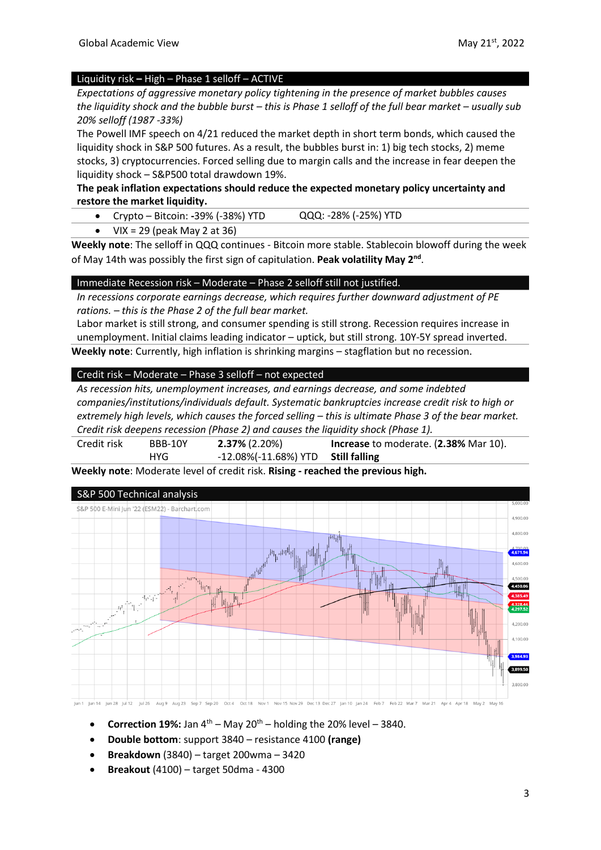#### Liquidity risk **–** High – Phase 1 selloff – ACTIVE

*Expectations of aggressive monetary policy tightening in the presence of market bubbles causes the liquidity shock and the bubble burst – this is Phase 1 selloff of the full bear market – usually sub 20% selloff (1987 -33%)*

The Powell IMF speech on 4/21 reduced the market depth in short term bonds, which caused the liquidity shock in S&P 500 futures. As a result, the bubbles burst in: 1) big tech stocks, 2) meme stocks, 3) cryptocurrencies. Forced selling due to margin calls and the increase in fear deepen the liquidity shock – S&P500 total drawdown 19%.

### **The peak inflation expectations should reduce the expected monetary policy uncertainty and restore the market liquidity.**

• Crypto – Bitcoin: **-**39% (-38%) YTD QQQ: -28% (-25%) YTD

 $VIX = 29$  (peak May 2 at 36)

**Weekly note**: The selloff in QQQ continues - Bitcoin more stable. Stablecoin blowoff during the week of May 14th was possibly the first sign of capitulation. **Peak volatility May 2nd** .

#### Immediate Recession risk – Moderate – Phase 2 selloff still not justified.

*In recessions corporate earnings decrease, which requires further downward adjustment of PE rations. – this is the Phase 2 of the full bear market.* 

Labor market is still strong, and consumer spending is still strong. Recession requires increase in unemployment. Initial claims leading indicator – uptick, but still strong. 10Y-5Y spread inverted. **Weekly note**: Currently, high inflation is shrinking margins – stagflation but no recession.

#### Credit risk – Moderate – Phase 3 selloff – not expected

*As recession hits, unemployment increases, and earnings decrease, and some indebted companies/institutions/individuals default. Systematic bankruptcies increase credit risk to high or extremely high levels, which causes the forced selling – this is ultimate Phase 3 of the bear market. Credit risk deepens recession (Phase 2) and causes the liquidity shock (Phase 1).* 

| Credit risk | BBB-10Y | $2.37\%$ (2.20%)                       | Increase to moderate. (2.38% Mar 10). |
|-------------|---------|----------------------------------------|---------------------------------------|
|             | HYG     | $-12.08\%(-11.68\%)$ YTD Still falling |                                       |

**Weekly note**: Moderate level of credit risk. **Rising - reached the previous high.**



- **Correction 19%:** Jan  $4^{th}$  May  $20^{th}$  holding the 20% level 3840.
- **Double bottom**: support 3840 resistance 4100 **(range)**
- **Breakdown** (3840) target 200wma 3420
- **Breakout** (4100) target 50dma 4300